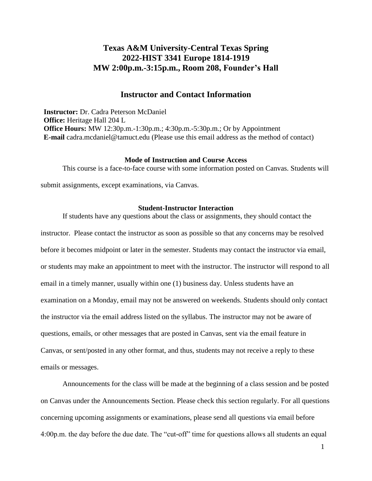# **Texas A&M University-Central Texas Spring 2022-HIST 3341 Europe 1814-1919 MW 2:00p.m.-3:15p.m., Room 208, Founder's Hall**

# **Instructor and Contact Information**

**Instructor:** Dr. Cadra Peterson McDaniel **Office:** Heritage Hall 204 L **Office Hours:** MW 12:30p.m.-1:30p.m.; 4:30p.m.-5:30p.m.; Or by Appointment **E-mail** [cadra.mcdaniel@tamuct.edu \(](mailto:cadra.mcdaniel@tamuct.edu)Please use this email address as the method of contact)

### **Mode of Instruction and Course Access**

This course is a face-to-face course with some information posted on Canvas. Students will submit assignments, except examinations, via Canvas.

#### **Student-Instructor Interaction**

If students have any questions about the class or assignments, they should contact the instructor. Please contact the instructor as soon as possible so that any concerns may be resolved before it becomes midpoint or later in the semester. Students may contact the instructor via email, or students may make an appointment to meet with the instructor. The instructor will respond to all email in a timely manner, usually within one (1) business day. Unless students have an examination on a Monday, email may not be answered on weekends. Students should only contact the instructor via the email address listed on the syllabus. The instructor may not be aware of questions, emails, or other messages that are posted in Canvas, sent via the email feature in Canvas, or sent/posted in any other format, and thus, students may not receive a reply to these emails or messages.

Announcements for the class will be made at the beginning of a class session and be posted on Canvas under the Announcements Section. Please check this section regularly. For all questions concerning upcoming assignments or examinations, please send all questions via email before 4:00p.m. the day before the due date. The "cut-off" time for questions allows all students an equal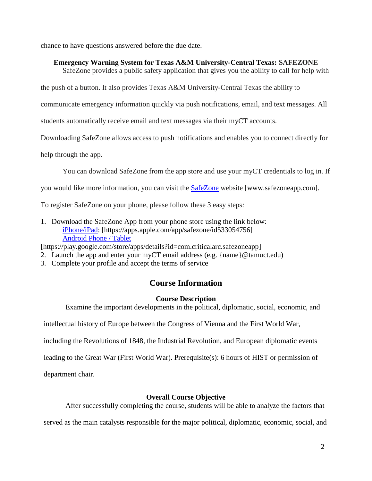chance to have questions answered before the due date.

# **Emergency Warning System for Texas A&M University-Central Texas: SAFEZONE**

SafeZone provides a public safety application that gives you the ability to call for help with

the push of a button. It also provides Texas A&M University-Central Texas the ability to

communicate emergency information quickly via push notifications, email, and text messages. All

students automatically receive email and text messages via their myCT accounts.

Downloading SafeZone allows access to push notifications and enables you to connect directly for

help through the app.

You can download SafeZone from the app store and use your myCT credentials to log in. If

you would like more information, you can visit the [SafeZone](http://www.safezoneapp.com/) website [www.safezoneapp.com].

To register SafeZone on your phone, please follow these 3 easy steps*:*

1. Download the SafeZone App from your phone store using the link below: [iPhone/iPad:](https://apps.apple.com/app/safezone/id533054756) [https://apps.apple.com/app/safezone/id533054756] [Android Phone / Tablet](https://play.google.com/store/apps/details?id=com.criticalarc.safezoneapp)

[https://play.google.com/store/apps/details?id=com.criticalarc.safezoneapp]

- 2. Launch the app and enter your myCT email address (e.g. {name}@tamuct.edu)
- 3. Complete your profile and accept the terms of service

# **Course Information**

## **Course Description**

Examine the important developments in the political, diplomatic, social, economic, and

intellectual history of Europe between the Congress of Vienna and the First World War,

including the Revolutions of 1848, the Industrial Revolution, and European diplomatic events

leading to the Great War (First World War). Prerequisite(s): 6 hours of HIST or permission of

department chair.

# **Overall Course Objective**

After successfully completing the course, students will be able to analyze the factors that

served as the main catalysts responsible for the major political, diplomatic, economic, social, and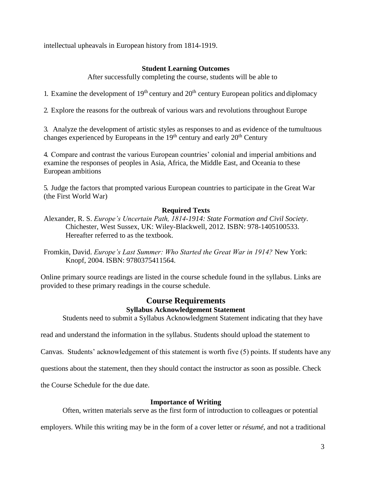intellectual upheavals in European history from 1814-1919.

# **Student Learning Outcomes**

After successfully completing the course, students will be able to

1. Examine the development of  $19<sup>th</sup>$  century and  $20<sup>th</sup>$  century European politics and diplomacy

2. Explore the reasons for the outbreak of various wars and revolutions throughout Europe

3. Analyze the development of artistic styles as responses to and as evidence of the tumultuous changes experienced by Europeans in the  $19<sup>th</sup>$  century and early  $20<sup>th</sup>$  Century

4. Compare and contrast the various European countries' colonial and imperial ambitions and examine the responses of peoples in Asia, Africa, the Middle East, and Oceania to these European ambitions

5. Judge the factors that prompted various European countries to participate in the Great War (the First World War)

# **Required Texts**

- Alexander, R. S. *Europe's Uncertain Path, 1814-1914: State Formation and Civil Society*. Chichester, West Sussex, UK: Wiley-Blackwell, 2012. ISBN: 978-1405100533. Hereafter referred to as the textbook.
- Fromkin, David. *Europe's Last Summer: Who Started the Great War in 1914?* New York: Knopf, 2004. ISBN: 9780375411564.

Online primary source readings are listed in the course schedule found in the syllabus. Links are provided to these primary readings in the course schedule.

# **Course Requirements Syllabus Acknowledgement Statement**

Students need to submit a Syllabus Acknowledgment Statement indicating that they have

read and understand the information in the syllabus. Students should upload the statement to

Canvas. Students' acknowledgement of this statement is worth five (5) points. If students have any

questions about the statement, then they should contact the instructor as soon as possible. Check

the Course Schedule for the due date.

## **Importance of Writing**

Often, written materials serve as the first form of introduction to colleagues or potential

employers. While this writing may be in the form of a cover letter or *résumé*, and not a traditional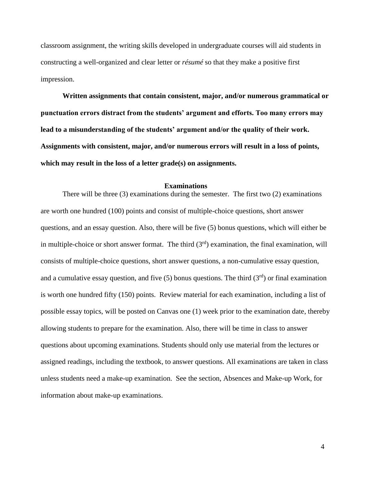classroom assignment, the writing skills developed in undergraduate courses will aid students in constructing a well-organized and clear letter or *résumé* so that they make a positive first impression.

**Written assignments that contain consistent, major, and/or numerous grammatical or punctuation errors distract from the students' argument and efforts. Too many errors may lead to a misunderstanding of the students' argument and/or the quality of their work. Assignments with consistent, major, and/or numerous errors will result in a loss of points, which may result in the loss of a letter grade(s) on assignments.** 

#### **Examinations**

There will be three (3) examinations during the semester. The first two (2) examinations are worth one hundred (100) points and consist of multiple-choice questions, short answer questions, and an essay question. Also, there will be five (5) bonus questions, which will either be in multiple-choice or short answer format. The third  $(3<sup>rd</sup>)$  examination, the final examination, will consists of multiple-choice questions, short answer questions, a non-cumulative essay question, and a cumulative essay question, and five (5) bonus questions. The third  $(3<sup>rd</sup>)$  or final examination is worth one hundred fifty (150) points. Review material for each examination, including a list of possible essay topics, will be posted on Canvas one (1) week prior to the examination date, thereby allowing students to prepare for the examination. Also, there will be time in class to answer questions about upcoming examinations. Students should only use material from the lectures or assigned readings, including the textbook, to answer questions. All examinations are taken in class unless students need a make-up examination. See the section, Absences and Make-up Work, for information about make-up examinations.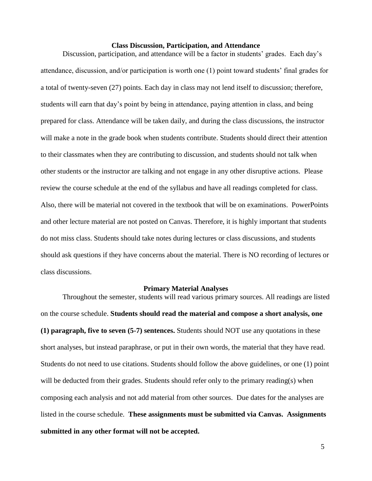#### **Class Discussion, Participation, and Attendance**

Discussion, participation, and attendance will be a factor in students' grades. Each day's attendance, discussion, and/or participation is worth one (1) point toward students' final grades for a total of twenty-seven (27) points. Each day in class may not lend itself to discussion; therefore, students will earn that day's point by being in attendance, paying attention in class, and being prepared for class. Attendance will be taken daily, and during the class discussions, the instructor will make a note in the grade book when students contribute. Students should direct their attention to their classmates when they are contributing to discussion, and students should not talk when other students or the instructor are talking and not engage in any other disruptive actions. Please review the course schedule at the end of the syllabus and have all readings completed for class. Also, there will be material not covered in the textbook that will be on examinations. PowerPoints and other lecture material are not posted on Canvas. Therefore, it is highly important that students do not miss class. Students should take notes during lectures or class discussions, and students should ask questions if they have concerns about the material. There is NO recording of lectures or class discussions.

#### **Primary Material Analyses**

Throughout the semester, students will read various primary sources. All readings are listed on the course schedule. **Students should read the material and compose a short analysis, one (1) paragraph, five to seven (5-7) sentences.** Students should NOT use any quotations in these short analyses, but instead paraphrase, or put in their own words, the material that they have read. Students do not need to use citations. Students should follow the above guidelines, or one (1) point will be deducted from their grades. Students should refer only to the primary reading(s) when composing each analysis and not add material from other sources. Due dates for the analyses are listed in the course schedule. **These assignments must be submitted via Canvas. Assignments submitted in any other format will not be accepted.**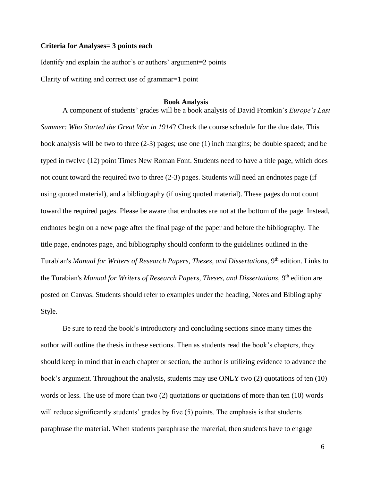### **Criteria for Analyses= 3 points each**

Identify and explain the author's or authors' argument=2 points

Clarity of writing and correct use of grammar=1 point

#### **Book Analysis**

A component of students' grades will be a book analysis of David Fromkin's *Europe's Last Summer: Who Started the Great War in 1914*? Check the course schedule for the due date. This book analysis will be two to three (2-3) pages; use one (1) inch margins; be double spaced; and be typed in twelve (12) point Times New Roman Font. Students need to have a title page, which does not count toward the required two to three (2-3) pages. Students will need an endnotes page (if using quoted material), and a bibliography (if using quoted material). These pages do not count toward the required pages. Please be aware that endnotes are not at the bottom of the page. Instead, endnotes begin on a new page after the final page of the paper and before the bibliography. The title page, endnotes page, and bibliography should conform to the guidelines outlined in the Turabian's *Manual for Writers of Research Papers, Theses, and Dissertations,* 9<sup>th</sup> edition. Links to the Turabian's *Manual for Writers of Research Papers, Theses, and Dissertations,* 9<sup>th</sup> edition are posted on Canvas. Students should refer to examples under the heading, Notes and Bibliography Style.

Be sure to read the book's introductory and concluding sections since many times the author will outline the thesis in these sections. Then as students read the book's chapters, they should keep in mind that in each chapter or section, the author is utilizing evidence to advance the book's argument. Throughout the analysis, students may use ONLY two (2) quotations of ten (10) words or less. The use of more than two (2) quotations or quotations of more than ten (10) words will reduce significantly students' grades by five  $(5)$  points. The emphasis is that students paraphrase the material. When students paraphrase the material, then students have to engage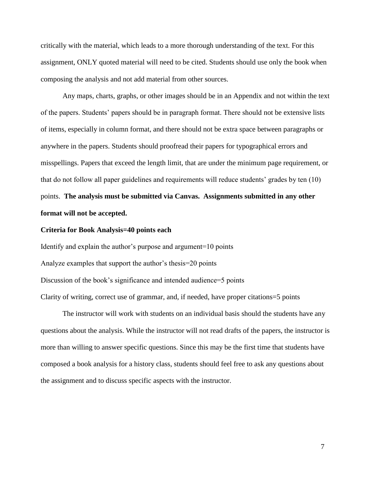critically with the material, which leads to a more thorough understanding of the text. For this assignment, ONLY quoted material will need to be cited. Students should use only the book when composing the analysis and not add material from other sources.

Any maps, charts, graphs, or other images should be in an Appendix and not within the text of the papers. Students' papers should be in paragraph format. There should not be extensive lists of items, especially in column format, and there should not be extra space between paragraphs or anywhere in the papers. Students should proofread their papers for typographical errors and misspellings. Papers that exceed the length limit, that are under the minimum page requirement, or that do not follow all paper guidelines and requirements will reduce students' grades by ten (10) points. **The analysis must be submitted via Canvas. Assignments submitted in any other format will not be accepted.** 

### **Criteria for Book Analysis=40 points each**

Identify and explain the author's purpose and argument=10 points Analyze examples that support the author's thesis=20 points Discussion of the book's significance and intended audience=5 points Clarity of writing, correct use of grammar, and, if needed, have proper citations=5 points

The instructor will work with students on an individual basis should the students have any questions about the analysis. While the instructor will not read drafts of the papers, the instructor is more than willing to answer specific questions. Since this may be the first time that students have composed a book analysis for a history class, students should feel free to ask any questions about the assignment and to discuss specific aspects with the instructor.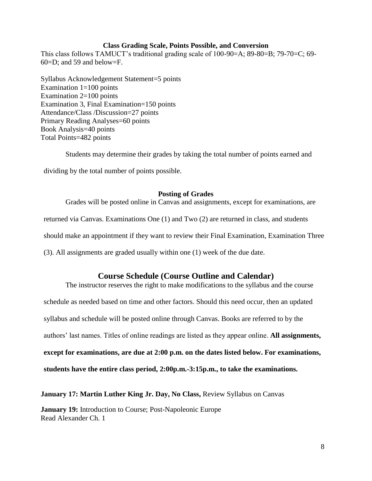### **Class Grading Scale, Points Possible, and Conversion**

This class follows TAMUCT's traditional grading scale of 100-90=A; 89-80=B; 79-70=C; 69- 60=D; and 59 and below=F.

Syllabus Acknowledgement Statement=5 points Examination  $1=100$  points Examination 2=100 points Examination 3, Final Examination=150 points Attendance/Class /Discussion=27 points Primary Reading Analyses=60 points Book Analysis=40 points Total Points=482 points

Students may determine their grades by taking the total number of points earned and dividing by the total number of points possible.

## **Posting of Grades**

Grades will be posted online in Canvas and assignments, except for examinations, are returned via Canvas. Examinations One (1) and Two (2) are returned in class, and students should make an appointment if they want to review their Final Examination, Examination Three (3). All assignments are graded usually within one (1) week of the due date.

# **Course Schedule (Course Outline and Calendar)**

The instructor reserves the right to make modifications to the syllabus and the course schedule as needed based on time and other factors. Should this need occur, then an updated syllabus and schedule will be posted online through Canvas. Books are referred to by the authors' last names. Titles of online readings are listed as they appear online. **All assignments, except for examinations, are due at 2:00 p.m. on the dates listed below. For examinations, students have the entire class period, 2:00p.m.-3:15p.m., to take the examinations.**

**January 17: Martin Luther King Jr. Day, No Class,** Review Syllabus on Canvas

**January 19:** Introduction to Course; Post-Napoleonic Europe Read Alexander Ch. 1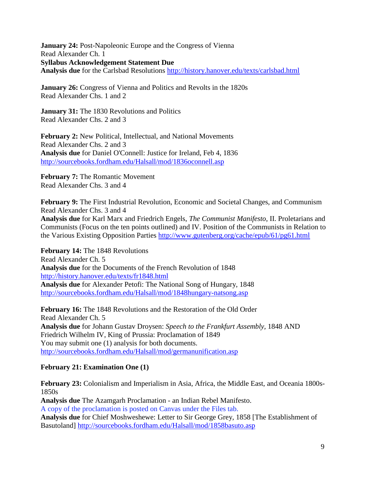**January 24:** Post-Napoleonic Europe and the Congress of Vienna Read Alexander Ch. 1 **Syllabus Acknowledgement Statement Due Analysis due** for the Carlsbad Resolutions<http://history.hanover.edu/texts/carlsbad.html>

**January 26:** Congress of Vienna and Politics and Revolts in the 1820s Read Alexander Chs. 1 and 2

**January 31:** The 1830 Revolutions and Politics Read Alexander Chs. 2 and 3

**February 2:** New Political, Intellectual, and National Movements Read Alexander Chs. 2 and 3 **Analysis due** for Daniel O'Connell: Justice for Ireland, Feb 4, 1836 <http://sourcebooks.fordham.edu/Halsall/mod/1836oconnell.asp>

**February 7:** The Romantic Movement Read Alexander Chs. 3 and 4

**February 9:** The First Industrial Revolution, Economic and Societal Changes, and Communism Read Alexander Chs. 3 and 4 **Analysis due** for Karl Marx and Friedrich Engels, *The Communist Manifesto*, II. Proletarians and

Communists (Focus on the ten points outlined) and IV. Position of the Communists in Relation to the Various Existing Opposition Parties <http://www.gutenberg.org/cache/epub/61/pg61.html>

**February 14:** The 1848 Revolutions Read Alexander Ch. 5 **Analysis due** for the Documents of the French Revolution of 1848 <http://history.hanover.edu/texts/fr1848.html> **Analysis due** for Alexander Petofi: The National Song of Hungary, 1848 <http://sourcebooks.fordham.edu/Halsall/mod/1848hungary-natsong.asp>

**February 16:** The 1848 Revolutions and the Restoration of the Old Order Read Alexander Ch. 5 **Analysis due** for Johann Gustav Droysen: *Speech to the Frankfurt Assembly,* 1848 AND Friedrich Wilhelm IV, King of Prussia: Proclamation of 1849 You may submit one (1) analysis for both documents. <http://sourcebooks.fordham.edu/Halsall/mod/germanunification.asp>

# **February 21: Examination One (1)**

**February 23:** Colonialism and Imperialism in Asia, Africa, the Middle East, and Oceania 1800s-1850s **Analysis due** The Azamgarh Proclamation - an Indian Rebel Manifesto. A copy of the proclamation is posted on Canvas under the Files tab.

**Analysis due** for Chief Moshweshewe: Letter to Sir George Grey, 1858 [The Establishment of Basutoland]<http://sourcebooks.fordham.edu/Halsall/mod/1858basuto.asp>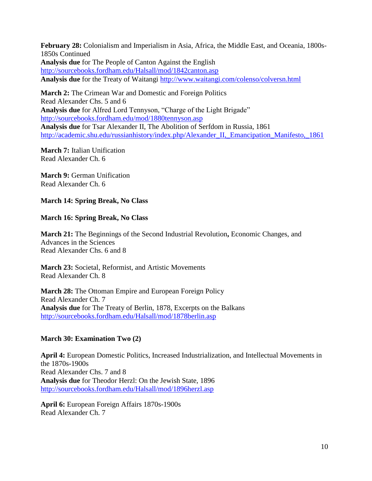**February 28:** Colonialism and Imperialism in Asia, Africa, the Middle East, and Oceania, 1800s-1850s Continued **Analysis due** for The People of Canton Against the English <http://sourcebooks.fordham.edu/Halsall/mod/1842canton.asp> **Analysis due** for the Treaty of Waitangi<http://www.waitangi.com/colenso/colversn.html>

**March 2:** The Crimean War and Domestic and Foreign Politics Read Alexander Chs. 5 and 6 **Analysis due** for Alfred Lord Tennyson, "Charge of the Light Brigade" <http://sourcebooks.fordham.edu/mod/1880tennyson.asp> **Analysis due** for Tsar Alexander II, The Abolition of Serfdom in Russia, 1861 [http://academic.shu.edu/russianhistory/index.php/Alexander\\_II,\\_Emancipation\\_Manifesto,\\_1861](http://academic.shu.edu/russianhistory/index.php/Alexander_II%2C_Emancipation_Manifesto%2C_1861)

**March 7:** Italian Unification Read Alexander Ch. 6

**March 9:** German Unification Read Alexander Ch. 6

# **March 14: Spring Break, No Class**

# **March 16: Spring Break, No Class**

**March 21:** The Beginnings of the Second Industrial Revolution**,** Economic Changes, and Advances in the Sciences Read Alexander Chs. 6 and 8

**March 23:** Societal, Reformist, and Artistic Movements Read Alexander Ch. 8

**March 28:** The Ottoman Empire and European Foreign Policy Read Alexander Ch. 7 **Analysis due** for The Treaty of Berlin, 1878, Excerpts on the Balkans <http://sourcebooks.fordham.edu/Halsall/mod/1878berlin.asp>

# **March 30: Examination Two (2)**

**April 4:** European Domestic Politics, Increased Industrialization, and Intellectual Movements in the 1870s-1900s Read Alexander Chs. 7 and 8 **Analysis due** for Theodor Herzl: On the Jewish State, 1896 <http://sourcebooks.fordham.edu/Halsall/mod/1896herzl.asp>

**April 6:** European Foreign Affairs 1870s-1900s Read Alexander Ch. 7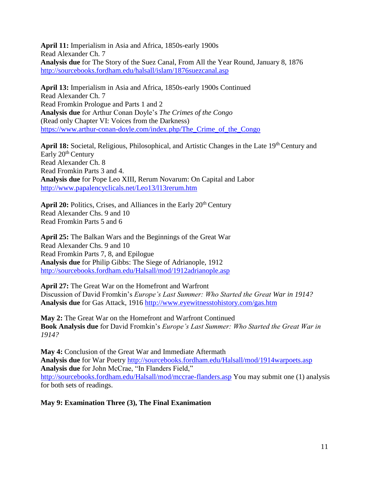**April 11:** Imperialism in Asia and Africa, 1850s-early 1900s Read Alexander Ch. 7 **Analysis due** for The Story of the Suez Canal, From All the Year Round, January 8, 1876 <http://sourcebooks.fordham.edu/halsall/islam/1876suezcanal.asp>

**April 13:** Imperialism in Asia and Africa, 1850s-early 1900s Continued Read Alexander Ch. 7 Read Fromkin Prologue and Parts 1 and 2 **Analysis due** for Arthur Conan Doyle's *The Crimes of the Congo*  (Read only Chapter VI: Voices from the Darkness) [https://www.arthur-conan-doyle.com/index.php/The\\_Crime\\_of\\_the\\_Congo](https://www.arthur-conan-doyle.com/index.php/The_Crime_of_the_Congo)

April 18: Societal, Religious, Philosophical, and Artistic Changes in the Late 19<sup>th</sup> Century and Early 20<sup>th</sup> Century Read Alexander Ch. 8 Read Fromkin Parts 3 and 4. **Analysis due** for Pope Leo XIII, Rerum Novarum: On Capital and Labor <http://www.papalencyclicals.net/Leo13/l13rerum.htm>

April 20: Politics, Crises, and Alliances in the Early 20<sup>th</sup> Century Read Alexander Chs. 9 and 10 Read Fromkin Parts 5 and 6

**April 25:** The Balkan Wars and the Beginnings of the Great War Read Alexander Chs. 9 and 10 Read Fromkin Parts 7, 8, and Epilogue **Analysis due** for Philip Gibbs: The Siege of Adrianople, 1912 <http://sourcebooks.fordham.edu/Halsall/mod/1912adrianople.asp>

**April 27:** The Great War on the Homefront and Warfront Discussion of David Fromkin's *Europe's Last Summer: Who Started the Great War in 1914?* **Analysis due** for Gas Attack, 1916<http://www.eyewitnesstohistory.com/gas.htm>

**May 2:** The Great War on the Homefront and Warfront Continued **Book Analysis due** for David Fromkin's *Europe's Last Summer: Who Started the Great War in 1914?*

**May 4:** Conclusion of the Great War and Immediate Aftermath **Analysis due** for War Poetry<http://sourcebooks.fordham.edu/Halsall/mod/1914warpoets.asp> **Analysis due** for John McCrae, "In Flanders Field," <http://sourcebooks.fordham.edu/Halsall/mod/mccrae-flanders.asp> You may submit one (1) analysis for both sets of readings.

**May 9: Examination Three (3), The Final Exanimation**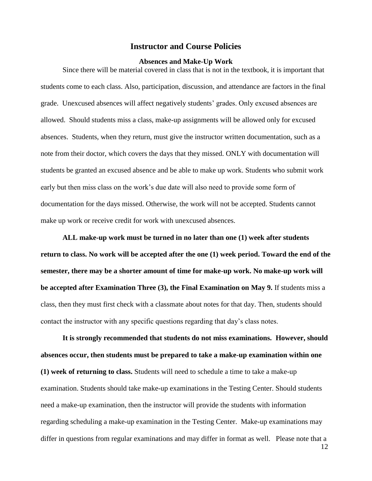### **Instructor and Course Policies**

#### **Absences and Make-Up Work**

Since there will be material covered in class that is not in the textbook, it is important that students come to each class. Also, participation, discussion, and attendance are factors in the final grade. Unexcused absences will affect negatively students' grades. Only excused absences are allowed. Should students miss a class, make-up assignments will be allowed only for excused absences. Students, when they return, must give the instructor written documentation, such as a note from their doctor, which covers the days that they missed. ONLY with documentation will students be granted an excused absence and be able to make up work. Students who submit work early but then miss class on the work's due date will also need to provide some form of documentation for the days missed. Otherwise, the work will not be accepted. Students cannot make up work or receive credit for work with unexcused absences.

**ALL make-up work must be turned in no later than one (1) week after students return to class. No work will be accepted after the one (1) week period. Toward the end of the semester, there may be a shorter amount of time for make-up work. No make-up work will be accepted after Examination Three (3), the Final Examination on May 9.** If students miss a class, then they must first check with a classmate about notes for that day. Then, students should contact the instructor with any specific questions regarding that day's class notes.

**It is strongly recommended that students do not miss examinations. However, should absences occur, then students must be prepared to take a make-up examination within one (1) week of returning to class.** Students will need to schedule a time to take a make-up examination. Students should take make-up examinations in the Testing Center. Should students need a make-up examination, then the instructor will provide the students with information regarding scheduling a make-up examination in the Testing Center. Make-up examinations may differ in questions from regular examinations and may differ in format as well. Please note that a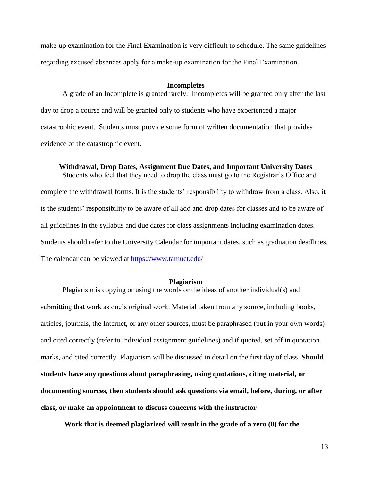make-up examination for the Final Examination is very difficult to schedule. The same guidelines regarding excused absences apply for a make-up examination for the Final Examination.

#### **Incompletes**

A grade of an Incomplete is granted rarely. Incompletes will be granted only after the last day to drop a course and will be granted only to students who have experienced a major catastrophic event. Students must provide some form of written documentation that provides evidence of the catastrophic event.

**Withdrawal, Drop Dates, Assignment Due Dates, and Important University Dates**

Students who feel that they need to drop the class must go to the Registrar's Office and complete the withdrawal forms. It is the students' responsibility to withdraw from a class. Also, it is the students' responsibility to be aware of all add and drop dates for classes and to be aware of all guidelines in the syllabus and due dates for class assignments including examination dates. Students should refer to the University Calendar for important dates, such as graduation deadlines. The calendar can be viewed at<https://www.tamuct.edu/>

### **Plagiarism**

Plagiarism is copying or using the words or the ideas of another individual(s) and submitting that work as one's original work. Material taken from any source, including books, articles, journals, the Internet, or any other sources, must be paraphrased (put in your own words) and cited correctly (refer to individual assignment guidelines) and if quoted, set off in quotation marks, and cited correctly. Plagiarism will be discussed in detail on the first day of class. **Should students have any questions about paraphrasing, using quotations, citing material, or documenting sources, then students should ask questions via email, before, during, or after class, or make an appointment to discuss concerns with the instructor**

**Work that is deemed plagiarized will result in the grade of a zero (0) for the**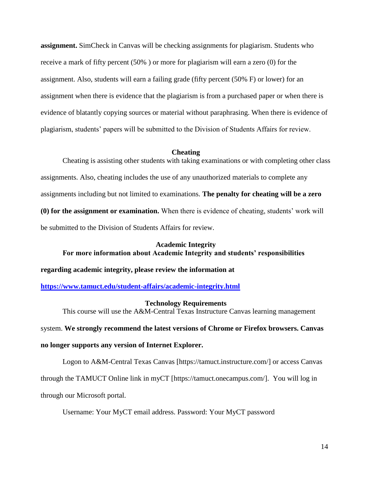**assignment.** SimCheck in Canvas will be checking assignments for plagiarism. Students who receive a mark of fifty percent (50% ) or more for plagiarism will earn a zero (0) for the assignment. Also, students will earn a failing grade (fifty percent (50% F) or lower) for an assignment when there is evidence that the plagiarism is from a purchased paper or when there is evidence of blatantly copying sources or material without paraphrasing. When there is evidence of plagiarism, students' papers will be submitted to the Division of Students Affairs for review.

#### **Cheating**

Cheating is assisting other students with taking examinations or with completing other class assignments. Also, cheating includes the use of any unauthorized materials to complete any assignments including but not limited to examinations. **The penalty for cheating will be a zero (0) for the assignment or examination.** When there is evidence of cheating, students' work will be submitted to the Division of Students Affairs for review.

# **Academic Integrity For more information about Academic Integrity and students' responsibilities**

**regarding academic integrity, please review the information at** 

**<https://www.tamuct.edu/student-affairs/academic-integrity.html>**

### **Technology Requirements**

This course will use the A&M-Central Texas Instructure Canvas learning management

system. **We strongly recommend the latest versions of Chrome or Firefox browsers. Canvas** 

### **no longer supports any version of Internet Explorer.**

Logon to A&M-Central Texas Canvas [https://tamuct.instructure.com/] or access Canvas

through the TAMUCT Online link in myCT [https://tamuct.onecampus.com/]. You will log in

through our Microsoft portal.

Username: Your MyCT email address. Password: Your MyCT password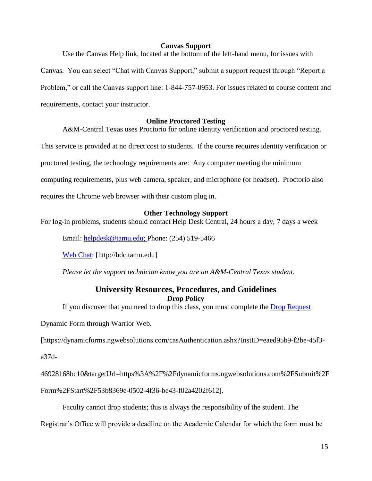### **Canvas Support**

Use the Canvas Help link, located at the bottom of the left-hand menu, for issues with

Canvas. You can select "Chat with Canvas Support," submit a support request through "Report a Problem," or call the Canvas support line: 1-844-757-0953. For issues related to course content and requirements, contact your instructor.

## **Online Proctored Testing**

A&M-Central Texas uses Proctorio for online identity verification and proctored testing.

This service is provided at no direct cost to students. If the course requires identity verification or

proctored testing, the technology requirements are: Any computer meeting the minimum

computing requirements, plus web camera, speaker, and microphone (or headset). Proctorio also

requires the Chrome web browser with their custom plug in.

### **Other Technology Support**

For log-in problems, students should contact Help Desk Central, 24 hours a day, 7 days a week

Email: [helpdesk@tamu.edu;](mailto:helpdesk@tamu.edu) Phone: (254) 519-5466

[Web Chat:](http://hdc.tamu.edu/) [http://hdc.tamu.edu]

*Please let the support technician know you are an A&M-Central Texas student.*

# **University Resources, Procedures, and Guidelines Drop Policy**

If you discover that you need to drop this class, you must complete the [Drop Request](https://dynamicforms.ngwebsolutions.com/casAuthentication.ashx?InstID=eaed95b9-f2be-45f3-a37d-46928168bc10&targetUrl=https%3A%2F%2Fdynamicforms.ngwebsolutions.com%2FSubmit%2FForm%2FStart%2F53b8369e-0502-4f36-be43-f02a4202f612)

Dynamic Form through Warrior Web.

[https://dynamicforms.ngwebsolutions.com/casAuthentication.ashx?InstID=eaed95b9-f2be-45f3-

a37d-

46928168bc10&targetUrl=https%3A%2F%2Fdynamicforms.ngwebsolutions.com%2FSubmit%2F

Form%2FStart%2F53b8369e-0502-4f36-be43-f02a4202f612].

Faculty cannot drop students; this is always the responsibility of the student. The

Registrar's Office will provide a deadline on the Academic Calendar for which the form must be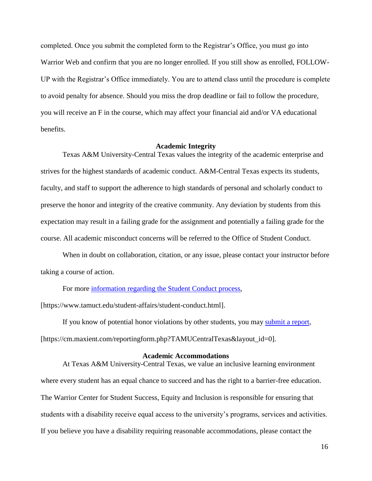completed. Once you submit the completed form to the Registrar's Office, you must go into Warrior Web and confirm that you are no longer enrolled. If you still show as enrolled, FOLLOW-UP with the Registrar's Office immediately. You are to attend class until the procedure is complete to avoid penalty for absence. Should you miss the drop deadline or fail to follow the procedure, you will receive an F in the course, which may affect your financial aid and/or VA educational benefits.

#### **Academic Integrity**

Texas A&M University-Central Texas values the integrity of the academic enterprise and strives for the highest standards of academic conduct. A&M-Central Texas expects its students, faculty, and staff to support the adherence to high standards of personal and scholarly conduct to preserve the honor and integrity of the creative community. Any deviation by students from this expectation may result in a failing grade for the assignment and potentially a failing grade for the course. All academic misconduct concerns will be referred to the Office of Student Conduct.

When in doubt on collaboration, citation, or any issue, please contact your instructor before taking a course of action.

For more [information](https://nam04.safelinks.protection.outlook.com/?url=https%3A%2F%2Fwww.tamuct.edu%2Fstudent-affairs%2Fstudent-conduct.html&data=04%7C01%7Clisa.bunkowski%40tamuct.edu%7Ccfb6e486f24745f53e1a08d910055cb2%7C9eed4e3000f744849ff193ad8005acec%7C0%7C0%7C637558437485252160%7CUnknown%7CTWFpbGZsb3d8eyJWIjoiMC4wLjAwMDAiLCJQIjoiV2luMzIiLCJBTiI6Ik1haWwiLCJXVCI6Mn0%3D%7C1000&sdata=yjftDEVHvLX%2FhM%2FcFU0B99krV1RgEWR%2BJ%2BhvtoR6TYk%3D&reserved=0) regarding the Student Conduct process,

[https://www.tamuct.edu/student-affairs/student-conduct.html].

If you know of potential honor violations by other students, you may [submit](https://nam04.safelinks.protection.outlook.com/?url=https%3A%2F%2Fcm.maxient.com%2Freportingform.php%3FTAMUCentralTexas%26layout_id%3D0&data=04%7C01%7Clisa.bunkowski%40tamuct.edu%7Ccfb6e486f24745f53e1a08d910055cb2%7C9eed4e3000f744849ff193ad8005acec%7C0%7C0%7C637558437485262157%7CUnknown%7CTWFpbGZsb3d8eyJWIjoiMC4wLjAwMDAiLCJQIjoiV2luMzIiLCJBTiI6Ik1haWwiLCJXVCI6Mn0%3D%7C1000&sdata=CXGkOa6uPDPX1IMZ87z3aZDq2n91xfHKu4MMS43Ejjk%3D&reserved=0) a report, [https://cm.maxient.com/reportingform.php?TAMUCentralTexas&layout\_id=0].

#### **Academic Accommodations**

At Texas A&M University-Central Texas, we value an inclusive learning environment where every student has an equal chance to succeed and has the right to a barrier-free education. The Warrior Center for Student Success, Equity and Inclusion is responsible for ensuring that students with a disability receive equal access to the university's programs, services and activities. If you believe you have a disability requiring reasonable accommodations, please contact the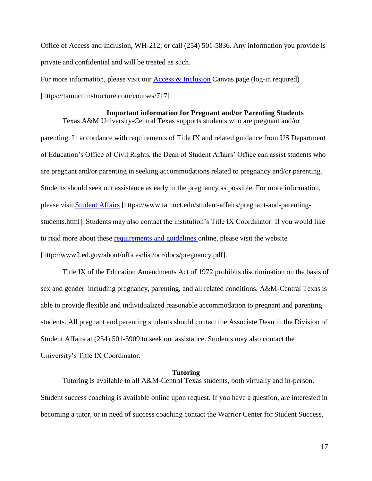Office of Access and Inclusion, WH-212; or call (254) 501-5836. Any information you provide is private and confidential and will be treated as such.

Texas A&M University-Central Texas supports students who are pregnant and/or

For more information, please visit our  $\Delta$ cess  $\&$  Inclusion Canvas page (log-in required) [https://tamuct.instructure.com/courses/717]

### **Important information for Pregnant and/or Parenting Students**

parenting. In accordance with requirements of Title IX and related guidance from US Department of Education's Office of Civil Rights, the Dean of Student Affairs' Office can assist students who are pregnant and/or parenting in seeking accommodations related to pregnancy and/or parenting. Students should seek out assistance as early in the pregnancy as possible. For more information, please visit [Student Affairs](https://www.tamuct.edu/student-affairs/pregnant-and-parenting-students.html) [https://www.tamuct.edu/student-affairs/pregnant-and-parentingstudents.html]. Students may also contact the institution's Title IX Coordinator. If you would like to read more about these [requirements and guidelines](http://www2.ed.gov/about/offices/list/ocr/docs/pregnancy.pdf) online, please visit the website [http://www2.ed.gov/about/offices/list/ocr/docs/pregnancy.pdf].

Title IX of the Education Amendments Act of 1972 prohibits discrimination on the basis of sex and gender–including pregnancy, parenting, and all related conditions. A&M-Central Texas is able to provide flexible and individualized reasonable accommodation to pregnant and parenting students. All pregnant and parenting students should contact the Associate Dean in the Division of Student Affairs at (254) 501-5909 to seek out assistance. Students may also contact the University's Title IX Coordinator.

#### **Tutoring**

Tutoring is available to all A&M-Central Texas students, both virtually and in-person. Student success coaching is available online upon request. If you have a question, are interested in becoming a tutor, or in need of success coaching contact the Warrior Center for Student Success,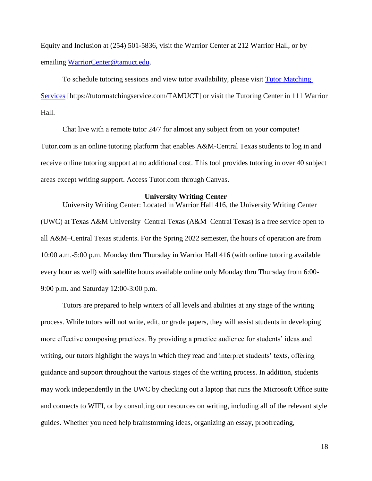Equity and Inclusion at (254) 501-5836, visit the Warrior Center at 212 Warrior Hall, or by emailing [WarriorCenter@tamuct.edu.](mailto:WarriorCenter@tamuct.edu)

To schedule tutoring sessions and view tutor availability, please visit Tutor [Matching](https://tutormatchingservice.com/TAMUCT) [Services](https://tutormatchingservice.com/TAMUCT) [https://tutormatchingservice.com/TAMUCT] or visit the Tutoring Center in 111 Warrior Hall.

Chat live with a remote tutor 24/7 for almost any subject from on your computer! Tutor.com is an online tutoring platform that enables A&M-Central Texas students to log in and receive online tutoring support at no additional cost. This tool provides tutoring in over 40 subject areas except writing support. Access Tutor.com through Canvas.

#### **University Writing Center**

University Writing Center: Located in Warrior Hall 416, the University Writing Center (UWC) at Texas A&M University–Central Texas (A&M–Central Texas) is a free service open to all A&M–Central Texas students. For the Spring 2022 semester, the hours of operation are from 10:00 a.m.-5:00 p.m. Monday thru Thursday in Warrior Hall 416 (with online tutoring available every hour as well) with satellite hours available online only Monday thru Thursday from 6:00- 9:00 p.m. and Saturday 12:00-3:00 p.m.

Tutors are prepared to help writers of all levels and abilities at any stage of the writing process. While tutors will not write, edit, or grade papers, they will assist students in developing more effective composing practices. By providing a practice audience for students' ideas and writing, our tutors highlight the ways in which they read and interpret students' texts, offering guidance and support throughout the various stages of the writing process. In addition, students may work independently in the UWC by checking out a laptop that runs the Microsoft Office suite and connects to WIFI, or by consulting our resources on writing, including all of the relevant style guides. Whether you need help brainstorming ideas, organizing an essay, proofreading,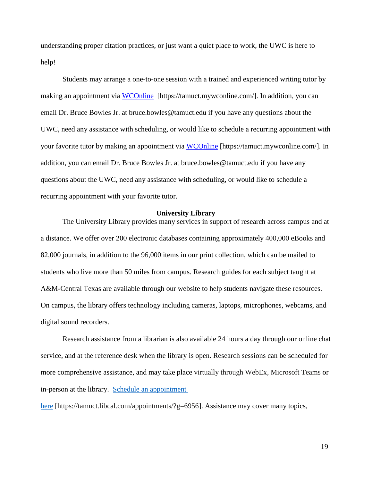understanding proper citation practices, or just want a quiet place to work, the UWC is here to help!

Students may arrange a one-to-one session with a trained and experienced writing tutor by making an appointment via [WCOnline](https://tamuct.mywconline.com/) [https://tamuct.mywconline.com/]. In addition, you can email Dr. Bruce Bowles Jr. at bruce.bowles@tamuct.edu if you have any questions about the UWC, need any assistance with scheduling, or would like to schedule a recurring appointment with your favorite tutor by making an appointment via [WCOnline](https://tamuct.mywconline.com/) [https://tamuct.mywconline.com/]. In addition, you can email Dr. Bruce Bowles Jr. at bruce.bowles@tamuct.edu if you have any questions about the UWC, need any assistance with scheduling, or would like to schedule a recurring appointment with your favorite tutor.

#### **University Library**

The University Library provides many services in support of research across campus and at a distance. We offer over 200 electronic databases containing approximately 400,000 eBooks and 82,000 journals, in addition to the 96,000 items in our print collection, which can be mailed to students who live more than 50 miles from campus. Research guides for each subject taught at A&M-Central Texas are available through our website to help students navigate these resources. On campus, the library offers technology including cameras, laptops, microphones, webcams, and digital sound recorders.

Research assistance from a librarian is also available 24 hours a day through our online chat service, and at the reference desk when the library is open. Research sessions can be scheduled for more comprehensive assistance, and may take place virtually through WebEx, Microsoft Teams or in-person at the library. Schedule an [appointment](https://nam04.safelinks.protection.outlook.com/?url=https%3A%2F%2Ftamuct.libcal.com%2Fappointments%2F%3Fg%3D6956&data=04%7C01%7Clisa.bunkowski%40tamuct.edu%7Cde2c07d9f5804f09518008d9ab7ba6ff%7C9eed4e3000f744849ff193ad8005acec%7C0%7C0%7C637729369835011558%7CUnknown%7CTWFpbGZsb3d8eyJWIjoiMC4wLjAwMDAiLCJQIjoiV2luMzIiLCJBTiI6Ik1haWwiLCJXVCI6Mn0%3D%7C3000&sdata=KhtjgRSAw9aq%2FoBsB6wyu8b7PSuGN5EGPypzr3Ty2No%3D&reserved=0)

[here](https://nam04.safelinks.protection.outlook.com/?url=https%3A%2F%2Ftamuct.libcal.com%2Fappointments%2F%3Fg%3D6956&data=04%7C01%7Clisa.bunkowski%40tamuct.edu%7Cde2c07d9f5804f09518008d9ab7ba6ff%7C9eed4e3000f744849ff193ad8005acec%7C0%7C0%7C637729369835011558%7CUnknown%7CTWFpbGZsb3d8eyJWIjoiMC4wLjAwMDAiLCJQIjoiV2luMzIiLCJBTiI6Ik1haWwiLCJXVCI6Mn0%3D%7C3000&sdata=KhtjgRSAw9aq%2FoBsB6wyu8b7PSuGN5EGPypzr3Ty2No%3D&reserved=0) [https://tamuct.libcal.com/appointments/?g=6956]. Assistance may cover many topics,